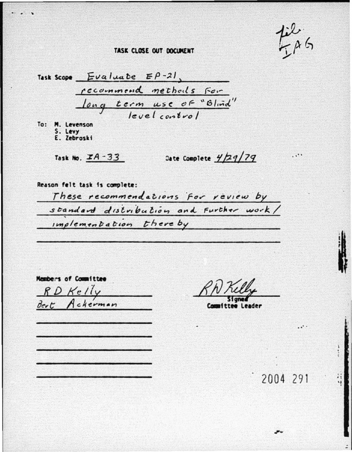$\cdot$ .

## TASK CLOSE OUT DOCUMENT

Task Scope  $Evalua$  be  $EP-21$ , recommend methods for long term use of "Blind"

To: M. Levenson S. Levy E. Zebroski

Task No. IA-33

Date Complete  $\frac{y}{2}q/7q$ 

Reason felt task is complete: These recommendations for review by standard distribution and Further work/ implementation there by

Members of Committee RD Kelly Bert Ackerman

Leader

2004 291

. . .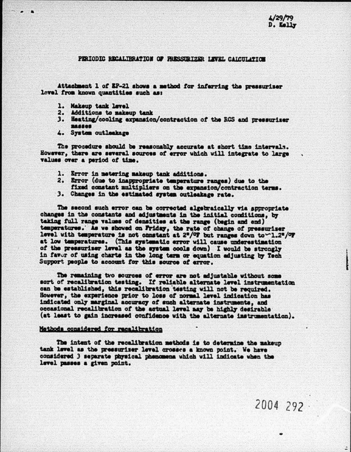$2004292$ 

 $\ddot{\cdot}$ 

## PERIODIC RECALTBRATION OF PRESSURIZER LEVEL CALCULATION

Attachment 1 of EP-21 shows a method for inferring the pressuriser level from known quantities such as:

1. Makeup tank level

75 G.T

- 2. Additions to makeup tank
- 3. Heating/cooling expansion/contraction of the RCS and pressuriser **BASSOS**
- 4. System outleakage

The procedure should be reasonably accurate at short time intervals. However, there are several sources of error which will integrate to large values over a period of time.

- 1. Error in metering makeup tank additions.
- 2. Error (due to inappropriate temperature ranges) due to the fixed constant multipliers on the expansion/contraction terms.
- 3. Changes in the estimated system outlaskage rate.

The second such error can be corrected algebraically via appropriate changes in the constants and adjustments in the initial conditions. by taking full range values of densities at the range (begin and end) temperatures. As we showed on Friday, the rate of change of pressuriser level with temperature is not constant at 2"/OF but ranges down to ~1.2"/OF at low temperatures. (This systematic error will cause underestimation of the pressuriser level as the system cools down) I would be strongly in favor of using charts in the long term or equation adjusting by Tech Support people to account for this source of arror.

The remaining two sources of error are not adjustable without some sort of recalibration testing. If reliable alternate level instrumentation can be established, this recalibration testing will not be required. However, the experience prior to loss of normal level indication has indicated only marginal accuracy of such alternate instruments, and occasional recalibration of the actual level may be highly desirable (at least to gain increased confidence with the alternate instrumentation).

## Methods considered for recalibration

The intent of the recalibration methods is to determine the makeup tank level as the pressuriser level crosses a known point. We have considered 3 separate physical phenomena which will indicate when the level passes a given point.